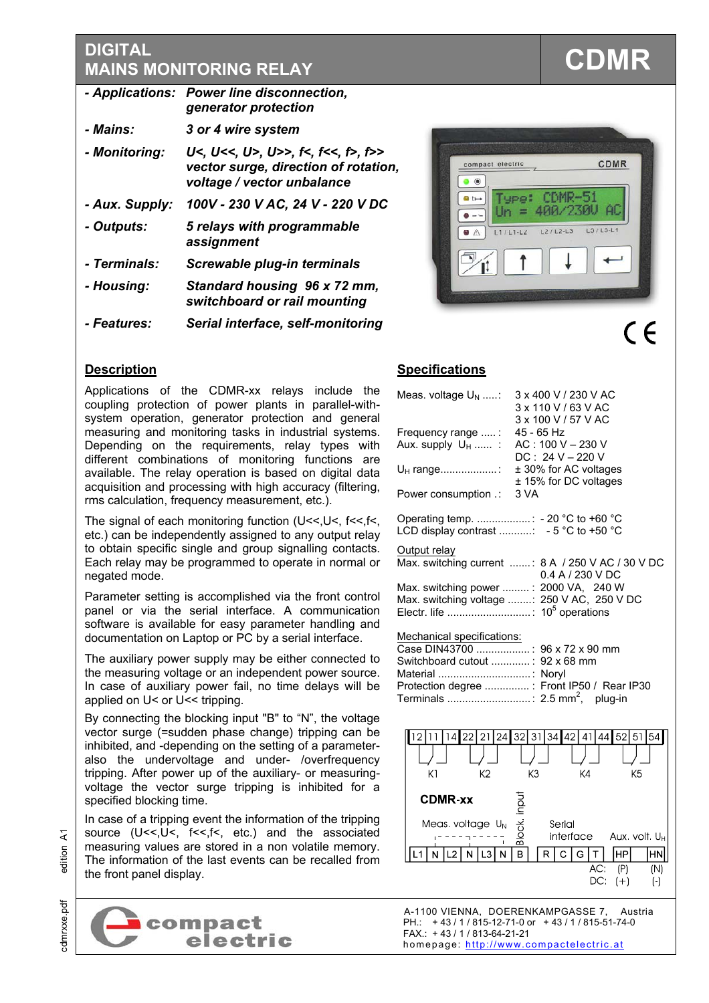# **DIGITAL CDMR**<br>MAINS MONITORING RELAY

|                    | - Applications: Power line disconnection,<br>generator protection                                    |
|--------------------|------------------------------------------------------------------------------------------------------|
| <i>- Mains:</i>    | 3 or 4 wire system                                                                                   |
| - Monitoring:      | U<, U<<, U>, U>>, f<, f<<, f>><br>vector surge, direction of rotation,<br>voltage / vector unbalance |
| - Aux. Supply:     | 100V - 230 V AC, 24 V - 220 V DC                                                                     |
| - Outputs:         | 5 relays with programmable<br>assignment                                                             |
| - Terminals:       | Screwable plug-in terminals                                                                          |
| - Housing:         | Standard housing 96 x 72 mm,<br>switchboard or rail mounting                                         |
| <i>- Features:</i> | Serial interface, self-monitoring                                                                    |



# **Description**

Applications of the CDMR-xx relays include the coupling protection of power plants in parallel-withsystem operation, generator protection and general measuring and monitoring tasks in industrial systems. Depending on the requirements, relay types with different combinations of monitoring functions are available. The relay operation is based on digital data acquisition and processing with high accuracy (filtering, rms calculation, frequency measurement, etc.).

The signal of each monitoring function  $(U<<, U<, f<<, f<, I<)$ etc.) can be independently assigned to any output relay to obtain specific single and group signalling contacts. Each relay may be programmed to operate in normal or negated mode.

Parameter setting is accomplished via the front control panel or via the serial interface. A communication software is available for easy parameter handling and documentation on Laptop or PC by a serial interface.

The auxiliary power supply may be either connected to the measuring voltage or an independent power source. In case of auxiliary power fail, no time delays will be applied on U< or U<< tripping.

By connecting the blocking input "B" to "N", the voltage vector surge (=sudden phase change) tripping can be inhibited, and -depending on the setting of a parameteralso the undervoltage and under- /overfrequency tripping. After power up of the auxiliary- or measuringvoltage the vector surge tripping is inhibited for a specified blocking time.

In case of a tripping event the information of the tripping source (U<<, U<, T<<, f<, etc.) and the associated measuring values are stored in a non volatile memory. The information of the last events can be recalled from the front panel display.



# **Specifications**

| Meas. voltage $U_N$ :                                                          | 3 x 400 V / 230 V AC<br>3 x 110 V / 63 V AC<br>3 x 100 V / 57 V AC    |
|--------------------------------------------------------------------------------|-----------------------------------------------------------------------|
| Frequency range :<br>Aux. supply $U_H$ :                                       | 45 - 65 Hz<br>AC: 100 V - 230 V<br>$DC: 24 V - 220 V$                 |
| U <sub>H</sub> range:                                                          | ± 30% for AC voltages<br>± 15% for DC voltages                        |
| Power consumption .:                                                           | 3 VA                                                                  |
| Operating temp. : - 20 °C to +60 °C<br>LCD display contrast : - 5 °C to +50 °C |                                                                       |
| Output relay                                                                   |                                                                       |
|                                                                                | Max. switching current : 8 A / 250 V AC / 30 V DC<br>0.4 A / 230 V DC |
| Max. switching power : 2000 VA, 240 W                                          |                                                                       |
|                                                                                | Max. switching voltage : 250 V AC, 250 V DC                           |
| Mechanical specifications:                                                     |                                                                       |
| Case DIN43700 : 96 x 72 x 90 mm                                                |                                                                       |
| Switchboard cutout : 92 x 68 mm                                                |                                                                       |
|                                                                                | Protection degree : Front IP50 / Rear IP30                            |
|                                                                                |                                                                       |
| 22<br> 4 <br>12<br>11                                                          | 21 24 32 31 34 42<br>41 44 52 51<br>54                                |
|                                                                                |                                                                       |
| K <sub>2</sub><br>K1                                                           | K3<br>K4<br>K <sub>5</sub>                                            |
| <b>CDMR-xx</b>                                                                 |                                                                       |
|                                                                                |                                                                       |
| Meas voltage U <sub>N</sub>                                                    | <b>Block</b> inpu<br>Serial<br>interface<br>Aux volt U <sub>H</sub>   |
| $\blacksquare$<br>$\lfloor 2 \rfloor$<br>L3<br>N<br>Ν<br>L1<br>N               | HP <br>B<br>$\mathsf{C}$<br>R<br>G.<br>$\mathsf T$<br>HN              |
|                                                                                | AC:<br>(P)<br>(N)                                                     |
|                                                                                | DC:<br>$(+)$<br>$(\cdot)$                                             |

A-1100 VIENNA, DOERENKAMPGASSE 7, Austria<br>PH.: +43/1/815-12-71-0 or +43/1/815-51-74-0 PH.: + 43 / 1 / 815-12-71-0 or + 43 / 1 / 815-51-74-0 FAX.: + 43 / 1 / 813-64-21-21 homepage: http://www.compactelectric.at

# হ notition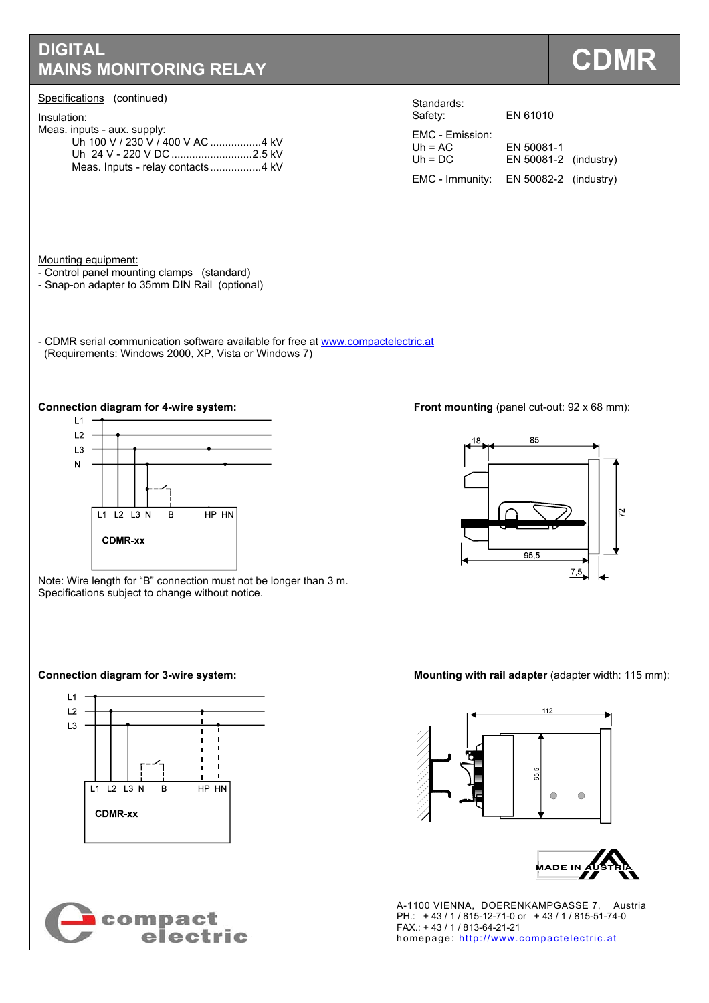# **DIGITAL MAINS MONITORING RELAY COMPANY**

### Specifications (continued)

| Insulation: |
|-------------|
|             |

| irisulation.                |  |
|-----------------------------|--|
| Meas. inputs - aux. supply: |  |
|                             |  |
|                             |  |
|                             |  |

| ulahuarus.<br>Safety:                     | EN 61010                              |  |
|-------------------------------------------|---------------------------------------|--|
| EMC - Emission:<br>Uh = $AC$<br>$Uh = DC$ | EN 50081-1<br>$EN 50081-2$ (industry) |  |
| EMC - Immunity:                           | EN $50082-2$ (industry)               |  |

Standards:

Mounting equipment:

- Control panel mounting clamps (standard)
- Snap-on adapter to 35mm DIN Rail (optional)
- CDMR serial communication software available for free at www.compactelectric.at (Requirements: Windows 2000, XP, Vista or Windows 7)



Note: Wire length for "B" connection must not be longer than 3 m. Specifications subject to change without notice.





**Connection diagram for 4-wire system: Front mounting (panel cut-out: 92 x 68 mm): Connection diagram for 4-wire system:** 



### **Connection diagram for 3-wire system:** Mounting with rail adapter (adapter width: 115 mm):





**COMPACT**<br> **COMPACT**<br> **ELECTIC**<br> **ELECTIC**<br> **ELECTIC**<br> **ELECTIC**<br> **ELECTIC**<br> **ELECTIC**<br> **ELECTIC**<br> **ELECTIC**<br> **ELECTIC**<br> **ELECTIC**<br> **ELECTIC**<br> **ELECTIC**<br> **ELECTIC**<br> **ELECTIC**<br> **ELECTIC** PH.: + 43 / 1 / 815-12-71-0 or + 43 / 1 / 815-51-74-0 FAX.: + 43 / 1 / 813-64-21-21 homepage: http://www.compactelectric.at